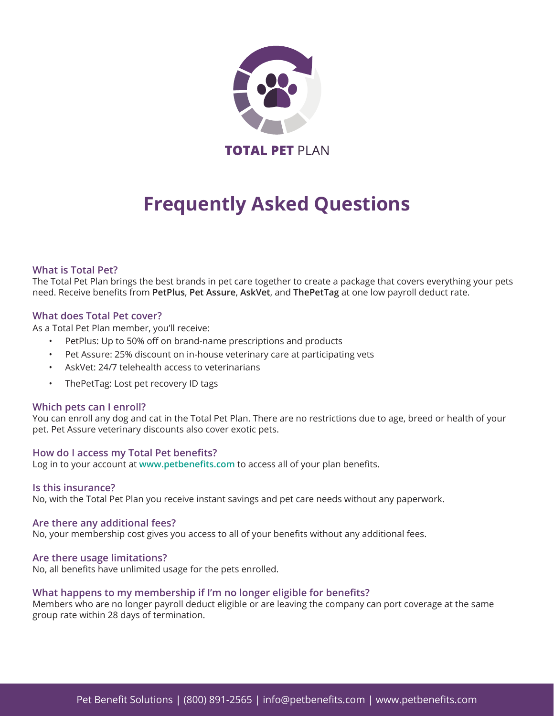

# **Frequently Asked Questions**

### **What is Total Pet?**

The Total Pet Plan brings the best brands in pet care together to create a package that covers everything your pets need. Receive benefits from **PetPlus**, **Pet Assure**, **AskVet**, and **ThePetTag** at one low payroll deduct rate.

### **What does Total Pet cover?**

As a Total Pet Plan member, you'll receive:

- PetPlus: Up to 50% off on brand-name prescriptions and products
- Pet Assure: 25% discount on in-house veterinary care at participating vets
- AskVet: 24/7 telehealth access to veterinarians
- ThePetTag: Lost pet recovery ID tags

#### **Which pets can I enroll?**

You can enroll any dog and cat in the Total Pet Plan. There are no restrictions due to age, breed or health of your pet. Pet Assure veterinary discounts also cover exotic pets.

#### **How do I access my Total Pet benefits?**

Log in to your account at **[www.petbenefits.com](http://www.petbenefits.com)** to access all of your plan benefits.

#### **Is this insurance?**

No, with the Total Pet Plan you receive instant savings and pet care needs without any paperwork.

#### **Are there any additional fees?**

No, your membership cost gives you access to all of your benefits without any additional fees.

#### **Are there usage limitations?**

No, all benefits have unlimited usage for the pets enrolled.

#### **What happens to my membership if I'm no longer eligible for benefits?**

Members who are no longer payroll deduct eligible or are leaving the company can port coverage at the same group rate within 28 days of termination.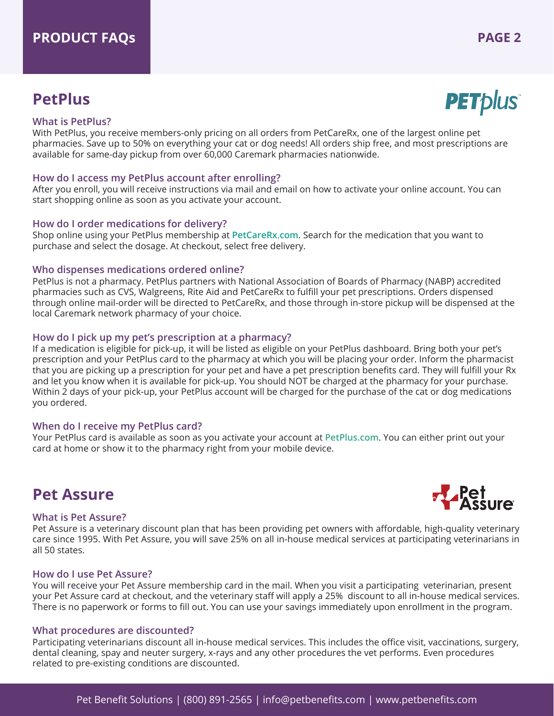### **PetPlus**



#### **What is PetPlus?**

With PetPlus, you receive members-only pricing on all orders from PetCareRx, one of the largest online pet pharmacies. Save up to 50% on everything your cat or dog needs! All orders ship free, and most prescriptions are available for same-day pickup from over 60,000 Caremark pharmacies nationwide.

#### **How do I access my PetPlus account after enrolling?**

After you enroll, you will receive instructions via mail and email on how to activate your online account. You can start shopping online as soon as you activate your account.

### **How do I order medications for delivery?**

Shop online using your PetPlus membership at **PetCareRx.com**. Search for the medication that you want to purchase and select the dosage. At checkout, select free delivery.

#### **Who dispenses medications ordered online?**

PetPlus is not a pharmacy. PetPlus partners with National Association of Boards of Pharmacy (NABP) accredited pharmacies such as CVS, Walgreens, Rite Aid and PetCareRx to fulfill your pet prescriptions. Orders dispensed through online mail-order will be directed to PetCareRx, and those through in-store pickup will be dispensed at the local Caremark network pharmacy of your choice.

### **How do I pick up my pet's prescription at a pharmacy?**

If a medication is eligible for pick-up, it will be listed as eligible on your PetPlus dashboard. Bring both your pet's prescription and your PetPlus card to the pharmacy at which you will be placing your order. Inform the pharmacist that you are picking up a prescription for your pet and have a pet prescription benefits card. They will fulfill your Rx and let you know when it is available for pick-up. You should NOT be charged at the pharmacy for your purchase. Within 2 days of your pick-up, your PetPlus account will be charged for the purchase of the cat or dog medications you ordered.

#### **When do I receive my PetPlus card?**

Your PetPlus card is available as soon as you activate your account at **PetPlus.com**. You can either print out your card at home or show it to the pharmacy right from your mobile device.

### **Pet Assure**

#### **What is Pet Assure?**

Pet Assure is a veterinary discount plan that has been providing pet owners with affordable, high-quality veterinary care since 1995. With Pet Assure, you will save 25% on all in-house medical services at participating veterinarians in all 50 states.

#### **How do I use Pet Assure?**

You will receive your Pet Assure membership card in the mail. When you visit a participating veterinarian, present your Pet Assure card at checkout, and the veterinary staff will apply a 25% discount to all in-house medical services. There is no paperwork or forms to fill out. You can use your savings immediately upon enrollment in the program.

#### **What procedures are discounted?**

Participating veterinarians discount all in-house medical services. This includes the office visit, vaccinations, surgery, dental cleaning, spay and neuter surgery, x-rays and any other procedures the vet performs. Even procedures related to pre-existing conditions are discounted.